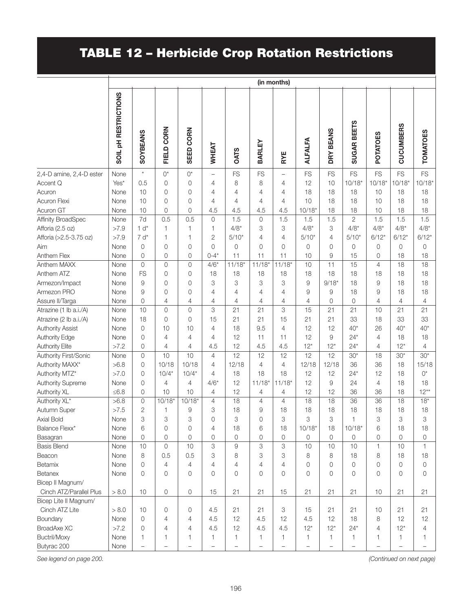## TABLE 12 – Herbicide Crop Rotation Restrictions

|                           | (in months)                     |                   |                   |                  |                          |                          |                   |                          |                     |                          |                |                          |                     |                   |
|---------------------------|---------------------------------|-------------------|-------------------|------------------|--------------------------|--------------------------|-------------------|--------------------------|---------------------|--------------------------|----------------|--------------------------|---------------------|-------------------|
|                           | SOIL <sub>PH</sub> RESTRICTIONS | <b>SOYBEANS</b>   | FIELD CORN        | <b>SEED CORN</b> | WHEAT                    | <b>OATS</b>              | BARLEY            | RYE                      | <b>ALFALFA</b>      | DRY BEANS                | SUGAR BEETS    | <b>POTATOES</b>          | <b>CUCUMBERS</b>    | <b>TOMATOES</b>   |
| 2,4-D amine, 2,4-D ester  | None                            | $\star$           | $0^*$             | $0^*$            | $\overline{\phantom{0}}$ | <b>FS</b>                | FS                | $\overline{\phantom{0}}$ | <b>FS</b>           | FS                       | FS             | FS                       | FS                  | <b>FS</b>         |
| Accent Q                  | Yes*                            | 0.5               | $\mathbf 0$       | $\mathbf 0$      | 4                        | 8                        | 8                 | 4                        | 12                  | 10                       | $10/18*$       | $10/18*$                 | $10/18*$            | $10/18*$          |
| Acuron                    | None                            | 10                | 0                 | $\circ$          | 4                        | 4                        | 4                 | 4                        | 18                  | 18                       | 18             | 10                       | 18                  | 18                |
| <b>Acuron Flexi</b>       | None                            | 10                | 0                 | 0                | 4                        | 4                        | 4                 | 4                        | 10                  | 18                       | 18             | 10                       | 18                  | 18                |
| Acuron GT                 | None                            | 10                | $\mathbf 0$       | $\mathsf O$      | 4.5                      | 4.5                      | 4.5               | 4.5                      | $10/18*$            | 18                       | 18             | 10                       | 18                  | 18                |
| <b>Affinity BroadSpec</b> | None                            | 7d                | 0.5               | 0.5              | $\overline{0}$           | 1.5                      | $\mathbf 0$       | 1.5                      | 1.5                 | 1.5                      | $\overline{c}$ | 1.5                      | 1.5                 | 1.5               |
| Afforia (2.5 oz)          | >7.9                            | $1 d^*$           | $\mathbf{1}$      | $\mathbf{1}$     | 1                        | $4/8*$                   | 3                 | 3                        | $4/8*$              | 3                        | $4/8*$         | $4/8*$                   | $4/8*$              | $4/8*$            |
| Afforia (>2.5-3.75 oz)    | >7.9                            | $7 d^*$           | 1                 | $\mathbf{1}$     | 2                        | $5/10*$                  | 4                 | $\overline{4}$           | $5/10*$             | 4                        | $5/10*$        | $6/12*$                  | $6/12*$             | $6/12*$           |
| Aim                       | None                            | 0                 | 0                 | 0                | $\Omega$                 | $\mathsf{O}\xspace$      | 0                 | 0                        | $\overline{0}$      | 0                        | $\mathbf 0$    | 0                        | $\mathbf 0$         | 0                 |
| Anthem Flex               | None                            | $\mathbf 0$       | $\mathbf 0$       | $\mathbf 0$      | $0 - 4*$                 | 11                       | 11                | 11                       | 10                  | 9                        | 15             | 0                        | 18                  | 18                |
| Anthem MAXX               | None                            | $\overline{0}$    | $\mathsf O$       | $\overline{0}$   | $4/6*$                   | $11/18*$                 | $11/18*$          | $11/18*$                 | 10                  | 11                       | 15             | $\overline{4}$           | 18                  | 18                |
| Anthem ATZ                | None                            | FS                | $\mathbf 0$       | $\circ$          | 18                       | 18                       | 18                | 18                       | 18                  | 18                       | 18             | 18                       | 18                  | 18                |
| Armezon/Impact            | None                            | $\Theta$          | $\mathbf 0$       | 0                | 3                        | 3                        | 3                 | 3                        | 9                   | $9/18*$                  | 18             | 9                        | 18                  | 18                |
| Armezon PRO               | None                            | 9                 | $\mathbf 0$       | 0                | 4                        | 4                        | 4                 | 4                        | 9                   | 9                        | 18             | 9                        | 18                  | 18                |
| Assure II/Targa           | None                            | $\mathbf 0$       | 4                 | 4                | 4                        | 4                        | 4                 | 4                        | 4                   | 0                        | $\mathbf 0$    | 4                        | $\overline{4}$      | $\overline{4}$    |
| Atrazine (1 lb a.i./A)    | None                            | 10                | $\mathbf 0$       | $\mathbf 0$      | 3                        | 21                       | 21                | 3                        | 15                  | 21                       | 21             | 10                       | 21                  | 21                |
| Atrazine (2 lb a.i./A)    | None                            | 18                | $\mathbf 0$       | $\mathbf 0$      | 15                       | 21                       | 21                | 15                       | 21                  | 21                       | 33             | 18                       | 33                  | 33                |
| <b>Authority Assist</b>   | None                            | 0                 | 10                | 10               | 4                        | 18                       | 9.5               | $\overline{4}$           | 12                  | 12                       | $40*$          | 26                       | $40*$               | $40*$             |
| <b>Authority Edge</b>     | None                            | 0                 | 4                 | $\overline{4}$   | 4                        | 12                       | 11                | 11                       | 12                  | 9                        | $24*$          | $\overline{4}$           | 18                  | 18                |
| <b>Authority Elite</b>    | >7.2                            | 0                 | 4                 | $\overline{4}$   | 4.5                      | 12                       | 4.5               | 4.5                      | $12*$               | $12*$                    | $24*$          | 4                        | $12*$               | 4                 |
| Authority First/Sonic     | None                            | 0                 | 10                | 10               | $\overline{4}$           | 12                       | 12                | 12                       | 12                  | 12                       | $30*$          | 18                       | $30*$               | $30*$             |
| Authority MAXX*           | >6.8                            | 0                 | 10/18             | 10/18            | 4                        | 12/18                    | $\overline{4}$    | $\overline{4}$           | 12/18               | 12/18                    | 36             | 36                       | 18                  | 15/18             |
| Authority MTZ*            | >7.0                            | 0                 | $10/4*$           | $10/4*$          | 4                        | 18                       | 18                | 18                       | 12                  | 12                       | $24*$          | 12                       | 18                  | $0^{\star}$       |
| Authority Supreme         | None                            | 0                 | 4                 | 4                | $4/6*$                   | 12                       | $11/18*$          | $11/18*$                 | 12                  | 9                        | 24             | 4                        | 18                  | 18                |
| Authority XL              | $≤ 6.8$                         | 0                 | 10                | 10               | 4                        | 12                       | 4                 | 4                        | 12                  | 12                       | 36             | 36                       | 18                  | $12**$            |
| Authority XL*             | >6.8                            | 0                 | $10/18*$          | $10/18*$         | $\overline{4}$           | 18                       | $\overline{4}$    | $\overline{4}$           | 18                  | 18                       | 36             | $\overline{36}$          | $\overline{18}$     | $18*$             |
| Autumn Super              | >7.5                            | $\mathbf{2}$      | 1                 | 9                | 3                        | 18                       | 9                 | 18                       | 18                  | 18                       | 18             | 18                       | 18                  | 18                |
| Axial Bold                | None                            | 3                 | 3                 | 3                | 0                        | 3                        | 0                 | 3                        | 3                   | 3                        | 1              | 3                        | 3                   | 3                 |
| Balance Flexx*            | None                            | 6                 | $\mathsf{O}$      | $\mathbf 0$      | $\overline{4}$           | 18                       | $6\,$             | 18                       | $10/18*$            | 18                       | $10/18*$       | 6                        | 18                  | 18                |
| Basagran                  | None                            | 0                 | $\mathsf O$       | $\mathsf O$      | 0                        | $\mathbf 0$              | $\overline{O}$    | 0                        | $\mathsf{O}\xspace$ | $\mathbf 0$              | $\mathsf{O}$   | 0                        | $\mathsf{O}\xspace$ | $\mathbf 0$       |
| <b>Basis Blend</b>        | None                            | 10                | $\mathsf{O}$      | 10               | 3                        | $\hbox{9}$               | 3                 | 3                        | 10                  | 10                       | 10             | $\mathbf{1}$             | 10                  | $\mathbf{1}$      |
| Beacon                    | None                            | 8                 | 0.5               | 0.5              | 3                        | 8                        | 3                 | 3                        | 8                   | 8                        | 18             | 8                        | 18                  | 18                |
| Betamix                   | None                            | $\overline{0}$    | $\overline{4}$    | 4                | 4                        | $\overline{4}$           | 4                 | $\overline{4}$           | $\overline{0}$      | 0                        | $\mathbf 0$    | 0                        | 0                   | 0                 |
| <b>Betanex</b>            | None                            | $\overline{0}$    | $\mathbf 0$       | $\overline{0}$   | $\Omega$                 | 0                        | 0                 | 0                        | $\Omega$            | $\Omega$                 | $\Omega$       | 0                        | 0                   | $\overline{0}$    |
| Bicep II Magnum/          |                                 |                   |                   |                  |                          |                          |                   |                          |                     |                          |                |                          |                     |                   |
| Cinch ATZ/Parallel Plus   | > 8.0                           | 10                | $\mathsf O$       | $\mathsf{O}$     | 15                       | 21                       | 21                | 15                       | 21                  | 21                       | 21             | 10                       | 21                  | 21                |
| Bicep Lite II Magnum/     |                                 |                   |                   |                  |                          |                          |                   |                          |                     |                          |                |                          |                     |                   |
| Cinch ATZ Lite            | > 8.0                           | 10                | 0                 | 0                | 4.5                      | 21                       | 21                | 3                        | 15                  | 21                       | 21             | 10                       | 21                  | 21                |
| Boundary                  | None                            | 0                 | 4                 | $\overline{4}$   | 4.5                      | 12                       | 4.5               | 12                       | 4.5                 | 12                       | 18             | 8                        | 12                  | 12                |
| BroadAxe XC               | >7.2                            | 0                 | 4                 | 4                | 4.5                      | 12                       | 4.5               | 4.5                      | $12*$               | $12*$                    | $24*$          | 4                        | $12*$               | 4                 |
| Buctril/Moxy              | None                            | 1                 | 1                 | 1                | 1                        | 1                        | 1                 | 1                        | 1                   | 1                        | $\mathbf{1}$   | 1                        | 1                   | 1                 |
| Butyrac 200               | None                            | $\qquad \qquad -$ | $\qquad \qquad -$ |                  | $\overline{\phantom{0}}$ | $\overline{\phantom{0}}$ | $\qquad \qquad -$ | $\qquad \qquad -$        |                     | $\overline{\phantom{0}}$ |                | $\overline{\phantom{0}}$ | $\qquad \qquad -$   | $\qquad \qquad -$ |

*See legend on page 200. (Continued on next page)*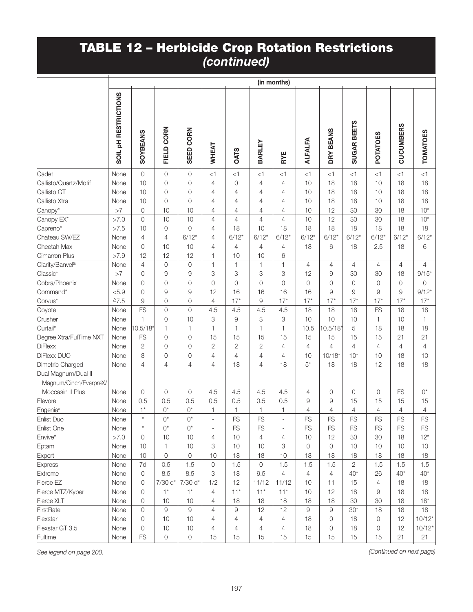|                                                                   | (in months)                     |                 |                     |                     |                |                |                |                |                |                |                |                 |                  |                 |
|-------------------------------------------------------------------|---------------------------------|-----------------|---------------------|---------------------|----------------|----------------|----------------|----------------|----------------|----------------|----------------|-----------------|------------------|-----------------|
|                                                                   | SOIL <sub>PH</sub> RESTRICTIONS | <b>SOYBEANS</b> | FIELD CORN          | SEED CORN           | WHEAT          | <b>OATS</b>    | BARLEY         | RYE            | <b>ALFALFA</b> | DRY BEANS      | SUGAR BEETS    | <b>POTATOES</b> | <b>CUCUMBERS</b> | <b>TOMATOES</b> |
| Cadet                                                             | None                            | 0               | $\mathbf 0$         | $\mathbf 0$         | <1             | <1             | <1             | <1             | <1             | <1             | <1             | <1              | <1               | <1              |
| Callisto/Quartz/Motif                                             | None                            | 10              | $\mathbf 0$         | $\mathbf 0$         | 4              | 0              | 4              | 4              | 10             | 18             | 18             | 10              | 18               | 18              |
| Callisto GT                                                       | None                            | 10              | $\mathbf 0$         | $\mathbf 0$         | 4              | 4              | 4              | 4              | 10             | 18             | 18             | 10              | 18               | 18              |
| Callisto Xtra                                                     | None                            | 10              | $\mathbf 0$         | $\mathbf 0$         | 4              | 4              | 4              | 4              | 10             | 18             | 18             | 10              | 18               | 18              |
| Canopy*                                                           | >7                              | 0               | 10                  | 10                  | 4              | 4              | 4              | 4              | 10             | 12             | 30             | 30              | 18               | $10*$           |
| Canopy EX*                                                        | >7.0                            | 0               | 10                  | 10                  | $\overline{4}$ | 4              | $\overline{4}$ | $\overline{4}$ | 10             | 12             | 30             | 30              | 18               | $10*$           |
| Capreno*                                                          | >7.5                            | 10              | $\mathbf 0$         | $\mathbf 0$         | 4              | 18             | 10             | 18             | 18             | 18             | 18             | 18              | 18               | 18              |
| Chateau SW/EZ                                                     | None                            | 4               | 4                   | $6/12*$             | 4              | $6/12*$        | $6/12*$        | $6/12*$        | $6/12*$        | $6/12*$        | $6/12*$        | $6/12*$         | $6/12*$          | $6/12*$         |
| Cheetah Max                                                       | None                            | 0               | 10                  | 10                  | 4              | $\overline{4}$ | 4              | 4              | 18             | 6              | 18             | 2.5             | 18               | 6               |
| Cimarron Plus                                                     | >7.9                            | 12              | 12                  | 12                  | 1              | 10             | 10             | 6              |                |                |                |                 | ÷,               |                 |
| Clarity/Banvel <sup>a</sup>                                       | None                            | $\overline{4}$  | $\mathbf 0$         | $\mathbf 0$         | $\mathbf{1}$   | 1              | $\mathbf{1}$   | $\mathbf{1}$   | $\overline{4}$ | $\overline{4}$ | $\overline{4}$ | $\overline{4}$  | $\overline{4}$   | 4               |
| Classic*                                                          | >7                              | 0               | $\overline{9}$      | 9                   | 3              | 3              | 3              | 3              | 12             | 9              | 30             | 30              | 18               | $9/15*$         |
| Cobra/Phoenix                                                     | None                            | 0               | $\mathbf 0$         | $\mathbf 0$         | $\Omega$       | $\overline{0}$ | 0              | 0              | $\Omega$       | $\Omega$       | $\overline{0}$ | $\mathbf 0$     | 0                | 0               |
| Command*                                                          | < 5.9                           | 0               | $\overline{9}$      | 9                   | 12             | 16             | 16             | 16             | 16             | 9              | 9              | 9               | 9                | $9/12*$         |
| Corvus*                                                           | $\geq 7.5$                      | 9               | $\mathbf 0$         | 0                   | 4              | $17*$          | $\Theta$       | $17*$          | $17*$          | $17*$          | $17*$          | $17*$           | $17*$            | $17*$           |
| Coyote                                                            | None                            | <b>FS</b>       | $\mathsf{O}$        | $\mathsf{O}$        | 4.5            | 4.5            | 4.5            | 4.5            | 18             | 18             | 18             | FS              | 18               | 18              |
| Crusher                                                           | None                            | 1               | $\mathbf 0$         | 10                  | 3              | 9              | 3              | 3              | 10             | 10             | 10             | 1               | 10               | 1               |
| Curtail*                                                          | None                            | 10.5/18*        | $\mathbf{1}$        | $\mathbf{1}$        | 1              | 1              | 1              | $\mathbf{1}$   | 10.5           | 10.5/18*       | 5              | 18              | 18               | 18              |
| Degree Xtra/FulTime NXT                                           | None                            | FS              | $\mathbf 0$         | $\mathbf 0$         | 15             | 15             | 15             | 15             | 15             | 15             | 15             | 15              | 21               | 21              |
| <b>DiFlexx</b>                                                    | None                            | 2               | $\mathbf 0$         | $\mathbf 0$         | 2              | 2              | $\sqrt{2}$     | 4              | $\overline{4}$ | 4              | 4              | 4               | 4                | 4               |
| DiFlexx DUO                                                       | None                            | 8               | $\circ$             | $\mathsf{O}$        | $\overline{4}$ | $\overline{4}$ | $\sqrt{4}$     | $\overline{4}$ | 10             | $10/18*$       | $10*$          | 10              | 18               | 10              |
| Dimetric Charged<br>Dual Magnum/Dual II<br>Magnum/Cinch/EverpreX/ | None                            | 4               | $\overline{4}$      | $\overline{4}$      | 4              | 18             | 4              | 18             | $5^*$          | 18             | 18             | 12              | 18               | 18              |
| Moccasin II Plus                                                  | None                            | $\mathbf 0$     | $\mathbf 0$         | $\mathbf 0$         | 4.5            | 4.5            | 4.5            | 4.5            | $\overline{4}$ | 0              | 0              | 0               | <b>FS</b>        | $O^*$           |
| Elevore                                                           | None                            | 0.5             | 0.5                 | 0.5                 | 0.5            | 0.5            | 0.5            | 0.5            | 9              | 9              | 15             | 15              | 15               | 15              |
| Engenia <sup>a</sup>                                              | None                            | $1^*$           | $0^*$               | $O^{\star}$         | 1              | 1              | 1              | 1              | 4              | 4              | 4              | 4               | 4                | 4               |
| Enlist Duo                                                        | None                            | $^\star$        | $0^*$               | $0^*$               |                | <b>FS</b>      | <b>FS</b>      | L              | <b>FS</b>      | <b>FS</b>      | <b>FS</b>      | FS              | <b>FS</b>        | FS              |
| Enlist One                                                        | None                            | $\star$         | $0^*$               | $0^*$               |                | <b>FS</b>      | FS             | L,             | FS             | <b>FS</b>      | FS             | FS              | FS               | FS              |
| Envive*                                                           | >7.0                            | 0               | 10                  | 10                  | $\overline{4}$ | 10             | 4              | 4              | 10             | 12             | 30             | 30              | 18               | $12*$           |
| Eptam                                                             | None                            | 10              | $\mathbf{1}$        | 10                  | 3              | 10             | 10             | 3              | $\overline{0}$ | 0              | 10             | 10              | 10               | 10              |
| Expert                                                            | None                            | $10$            | $\mathbf 0$         | $\mathsf{O}\xspace$ | 10             | 18             | 18             | 10             | 18             | 18             | 18             | 18              | 18               | 18              |
| Express                                                           | None                            | 7d              | 0.5                 | 1.5                 | $\circ$        | 1.5            | $\mathbf 0$    | 1.5            | 1.5            | 1.5            | $\mathbf{2}$   | 1.5             | 1.5              | 1.5             |
| Extreme                                                           | None                            | $\mathbf 0$     | 8.5                 | 8.5                 | 3              | 18             | 9.5            | $\overline{4}$ | $\overline{4}$ | $\overline{4}$ | $40*$          | 26              | $40*$            | $40*$           |
| Fierce EZ                                                         | None                            | 0               | 7/30 d*             | 7/30 d*             | 1/2            | 12             | 11/12          | 11/12          | 10             | 11             | 15             | 4               | 18               | 18              |
| Fierce MTZ/Kyber                                                  | None                            | 0               | $1^*$               | $1^*$               | $\overline{4}$ | $11*$          | $11*$          | $11*$          | 10             | 12             | 18             | 9               | 18               | 18              |
| Fierce XLT                                                        | None                            | 0               | 10                  | 10                  | $\overline{4}$ | 18             | 18             | 18             | 18             | 18             | 30             | 30              | 18               | $18*$           |
| FirstRate                                                         | None                            | 0               | $\hbox{9}$          | $\mathsf g$         | $\overline{4}$ | 9              | 12             | 12             | $9$            | 9              | $30*$          | 18              | 18               | 18              |
| Flexstar                                                          | None                            | $\circ$         | 10                  | 10                  | 4              | 4              | 4              | 4              | 18             | 0              | 18             | 0               | 12               | $10/12*$        |
| Flexstar GT 3.5                                                   | None                            | 0               | 10                  | 10                  | 4              | 4              | 4              | 4              | 18             | 0              | 18             | 0               | 12               | $10/12*$        |
| Fultime                                                           | None                            | FS              | $\mathsf{O}\xspace$ | $\mathsf{O}\xspace$ | 15             | 15             | 15             | 15             | 15             | 15             | 15             | 15              | 21               | 21              |

*See legend on page 200. (Continued on next page)*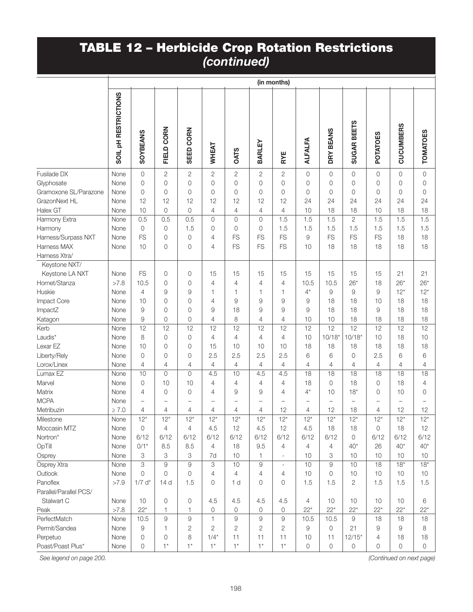|                        | (in months)                     |                               |                               |                               |                               |                               |                |                                |                               |                                |                    |                               |                                |                                |
|------------------------|---------------------------------|-------------------------------|-------------------------------|-------------------------------|-------------------------------|-------------------------------|----------------|--------------------------------|-------------------------------|--------------------------------|--------------------|-------------------------------|--------------------------------|--------------------------------|
|                        | SOIL <sub>PH</sub> RESTRICTIONS | <b>SOYBEANS</b>               | FIELD CORN                    | SEED CORN                     | WHEAT                         | <b>OATS</b>                   | BARLEY         | RYE                            | <b>ALFALFA</b>                | DRY BEANS                      | <b>SUGAR BEETS</b> | <b>POTATOES</b>               | <b>CUCUMBERS</b>               | <b>TOMATOES</b>                |
| Fusilade DX            | None                            | $\mathsf{O}\xspace$           | $\mathbf{2}$                  | $\overline{2}$                | $\overline{2}$                | $\mathbf{2}$                  | $\overline{c}$ | $\overline{c}$                 | $\overline{0}$                | $\overline{0}$                 | 0                  | $\overline{0}$                | 0                              | $\mathsf{O}$                   |
| Glyphosate             | None                            | 0                             | $\mathsf O$                   | $\overline{0}$                | 0                             | $\overline{0}$                | 0              | $\mathbf 0$                    | 0                             | $\overline{0}$                 | $\overline{0}$     | 0                             | 0                              | $\mathbf 0$                    |
| Gramoxone SL/Parazone  | None                            | $\overline{0}$                | 0                             | 0                             | 0                             | $\overline{0}$                | 0              | $\circ$                        | 0                             | 0                              | $\overline{0}$     | $\circ$                       | 0                              | 0                              |
| GrazonNext HL          | None                            | 12                            | 12                            | 12                            | 12                            | 12                            | 12             | 12                             | 24                            | 24                             | 24                 | 24                            | 24                             | 24                             |
| Halex GT               | None                            | 10                            | $\mathsf{O}$                  | $\circ$                       | $\overline{4}$                | $\overline{4}$                | 4              | $\overline{4}$                 | 10                            | 18                             | 18                 | 10                            | 18                             | 18                             |
| Harmony Extra          | None                            | 0.5                           | 0.5                           | 0.5                           | 0                             | $\overline{0}$                | 0              | 1.5                            | 1.5                           | 1.5                            | $\mathbf{2}$       | 1.5                           | 1.5                            | 1.5                            |
| Harmony                | None                            | $\mathbf 0$                   | $\mathsf{O}$                  | 1.5                           | 0                             | $\overline{0}$                | 0              | 1.5                            | 1.5                           | 1.5                            | 1.5                | 1.5                           | 1.5                            | 1.5                            |
| Harness/Surpass NXT    | None                            | FS                            | 0                             | 0                             | 4                             | <b>FS</b>                     | FS             | <b>FS</b>                      | 9                             | FS                             | FS                 | <b>FS</b>                     | 18                             | 18                             |
| Harness MAX            | None                            | 10                            | 0                             | 0                             | 4                             | <b>FS</b>                     | <b>FS</b>      | <b>FS</b>                      | 10                            | 18                             | 18                 | 18                            | 18                             | 18                             |
| Harness Xtra/          |                                 |                               |                               |                               |                               |                               |                |                                |                               |                                |                    |                               |                                |                                |
| Keystone NXT/          |                                 |                               |                               |                               |                               |                               |                |                                |                               |                                |                    |                               |                                |                                |
| Keystone LA NXT        | None                            | FS                            | 0                             | 0                             | 15                            | 15                            | 15             | 15                             | 15                            | 15                             | 15                 | 15                            | 21                             | 21                             |
| Hornet/Stanza          | >7.8                            | 10.5                          | 0                             | $\overline{0}$                | 4                             | 4                             | $\overline{4}$ | 4                              | 10.5                          | 10.5                           | $26*$              | 18                            | $26*$                          | $26*$                          |
| Huskie                 | None                            | 4                             | 9                             | 9                             | 1                             | 1                             | 1              | 1                              | $4^*$                         | 9                              | 9                  | 9                             | $12*$                          | $12*$                          |
| Impact Core            | None                            | 10                            | 0                             | 0                             | 4                             | 9                             | 9              | 9                              | 9                             | 18                             | 18                 | 10                            | 18                             | 18                             |
| ImpactZ                | None                            | 9                             | 0                             | $\overline{0}$                | 9                             | 18                            | 9              | 9                              | 9                             | 18                             | 18                 | 9                             | 18                             | 18                             |
| Katagon                | None                            | 9                             | 0                             | 0                             | 4                             | 8                             | 4              | 4                              | 10                            | 10                             | 18                 | 18                            | 18                             | 18                             |
| Kerb                   | None                            | 12                            | 12                            | 12                            | 12                            | 12                            | 12             | 12                             | 12                            | 12                             | 12                 | 12                            | 12                             | 12                             |
| Laudis*                | None                            | 8                             | 0                             | 0                             | 4                             | $\overline{4}$                | 4              | $\overline{4}$                 | 10                            | $10/18*$                       | $10/18*$           | 10                            | 18                             | 10                             |
| Lexar EZ               | None                            | 10                            | 0                             | 0                             | 15                            | 10                            | 10             | 10                             | 18                            | 18                             | 18                 | 18                            | 18                             | 18                             |
| Liberty/Rely           | None                            | 0                             | 0                             | 0                             | 2.5                           | 2.5                           | 2.5            | 2.5                            | 6                             | 6                              | 0                  | 2.5                           | 6                              | 6                              |
| Lorox/Linex            | None                            | 4                             | 4                             | 4                             | $\overline{4}$                | $\overline{4}$                | 4              | 4                              | 4                             | $\overline{4}$                 | 4                  | $\overline{4}$                | $\overline{4}$                 | 4                              |
| Lumax EZ               | None                            | 10                            | $\mathsf{O}$                  | $\circ$                       | 4.5                           | 10                            | 4.5            | 4.5                            | 18                            | 18                             | 18                 | 18                            | 18                             | 18                             |
| Marvel                 | None                            | 0                             | 10                            | 10                            | 4                             | $\overline{4}$                | 4              | 4                              | 18                            | $\overline{0}$                 | 18                 | $\circ$                       | 18                             | 4                              |
| Matrix<br><b>MCPA</b>  | None                            | 4                             | 0                             | 0                             | 4                             | 9                             | 9              | 4                              | $4^*$                         | 10                             | $18*$              | 0                             | 10                             | 0                              |
| Metribuzin             | None<br>$\geq 7.0$              | $\overline{\phantom{0}}$<br>4 | $\overline{\phantom{0}}$<br>4 | $\overline{\phantom{0}}$<br>4 | $\overline{\phantom{0}}$<br>4 | $\overline{\phantom{0}}$<br>4 | L,<br>4        | $\overline{\phantom{0}}$<br>12 | $\overline{\phantom{0}}$<br>4 | $\overline{\phantom{0}}$<br>12 | $\equiv$<br>18     | $\overline{\phantom{0}}$<br>4 | $\overline{\phantom{0}}$<br>12 | $\overline{\phantom{0}}$<br>12 |
| Milestone              | None                            | $12*$                         | $12*$                         | $12*$                         | $12*$                         | $12*$                         | $12*$          | $12*$                          | $12*$                         | $12*$                          | $12*$              | $12*$                         | $12*$                          | $12*$                          |
| Moccasin MTZ           | None                            | $\mathbf 0$                   | $\overline{4}$                | 4                             | 4.5                           | 12                            | 4.5            | 12                             | 4.5                           | 18                             | 18                 | 0                             | 18                             | 12                             |
| Nortron*               | None                            | 6/12                          | 6/12                          | 6/12                          | 6/12                          | 6/12                          | 6/12           | 6/12                           | 6/12                          | 6/12                           | $\mathbf 0$        | 6/12                          | 6/12                           | 6/12                           |
| OpTill                 | None                            | $0/1*$                        | 8.5                           | 8.5                           | $\overline{4}$                | 18                            | 9.5            | $\overline{4}$                 | $\overline{4}$                | $\overline{4}$                 | $40*$              | 26                            | $40*$                          | $40*$                          |
| Osprey                 | None                            | 3                             | 3                             | 3                             | 7d                            | 10                            | 1              | ÷,                             | 10                            | 3                              | 10                 | 10                            | 10                             | 10                             |
| Osprey Xtra            | None                            | 3                             | 9                             | 9                             | 3                             | 10                            | $\hbox{9}$     | $\blacksquare$                 | 10                            | 9                              | 10                 | 18                            | $18*$                          | $18*$                          |
| Outlook                | None                            | $\overline{0}$                | $\overline{0}$                | $\Omega$                      | $\overline{4}$                | $\overline{4}$                | 4              | 4                              | 10                            | $\circ$                        | 10                 | $10$                          | 10                             | 10                             |
| Panoflex               | >7.9                            | $1/7$ d <sup>*</sup>          | 14 <sub>d</sub>               | 1.5                           | 0                             | 1 <sub>d</sub>                | 0              | 0                              | 1.5                           | 1.5                            | $\overline{2}$     | 1.5                           | 1.5                            | 1.5                            |
| Parallel/Parallel PCS/ |                                 |                               |                               |                               |                               |                               |                |                                |                               |                                |                    |                               |                                |                                |
| Stalwart C             | None                            | 10                            | 0                             | $\circ$                       | 4.5                           | 4.5                           | 4.5            | 4.5                            | 4                             | 10                             | 10                 | 10                            | 10                             | 6                              |
| Peak                   | >7.8                            | $22*$                         | 1                             | 1                             | 0                             | 0                             | 0              | 0                              | $22*$                         | $22*$                          | $22*$              | $22*$                         | $22*$                          | $22*$                          |
| PerfectMatch           | None                            | 10.5                          | $\hbox{9}$                    | 9                             | $\mathbf{1}$                  | $\hbox{9}$                    | 9              | $\hbox{9}$                     | 10.5                          | 10.5                           | 9                  | 18                            | 18                             | 18                             |
| Permit/Sandea          | None                            | 9                             | 1                             | 2                             | $\mathbf{2}$                  | $\overline{2}$                | $\overline{2}$ | $\overline{2}$                 | 9                             | 0                              | 21                 | 9                             | 9                              | 8                              |
| Perpetuo               | None                            | $\mathbf 0$                   | 0                             | 8                             | $1/4*$                        | 11                            | 11             | 11                             | 10                            | 11                             | $12/15*$           | 4                             | 18                             | 18                             |
| Poast/Poast Plus*      | None                            | 0                             | $1^*$                         | $1*$                          | $1^*$                         | $1*$                          | $1*$           | $1^*$                          | $\mathbf{O}$                  | $\circ$                        | 0                  | 0                             | 0                              | 0                              |

*See legend on page 200.*

*(Continued on next page)*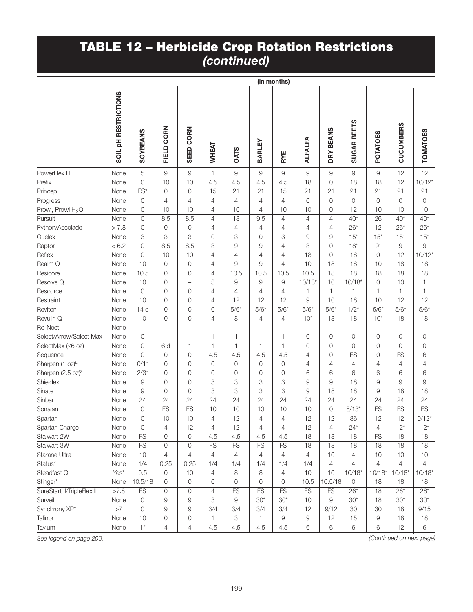|                               | (in months)                     |                        |                          |                          |                          |                        |                          |                          |                                                           |                            |                     |                |                          |                   |
|-------------------------------|---------------------------------|------------------------|--------------------------|--------------------------|--------------------------|------------------------|--------------------------|--------------------------|-----------------------------------------------------------|----------------------------|---------------------|----------------|--------------------------|-------------------|
|                               | SOIL <sub>PH</sub> RESTRICTIONS | <b>SOYBEANS</b>        | FIELD CORN               | SEED CORN                | WHEAT                    | <b>OATS</b>            | BARLEY                   | RYE                      | <b>ALFALFA</b>                                            | <b>BEANS</b><br><b>DRY</b> | SUGAR BEETS         | POTATOES       | <b>CUCUMBERS</b>         | <b>TOMATOES</b>   |
| PowerFlex HL                  | None                            | 5                      | $\hbox{9}$               | $\hbox{9}$               | 1                        | $\Theta$               | $\hbox{9}$               | $\hbox{9}$               | $\mathcal{G}% _{M_{1},M_{2}}^{\alpha,\beta}(\varepsilon)$ | 9                          | $\mathsf g$         | $\hbox{9}$     | 12                       | 12                |
| Prefix                        | None                            | $\overline{0}$         | 10                       | 10                       | 4.5                      | 4.5                    | 4.5                      | 4.5                      | 18                                                        | 0                          | 18                  | 18             | 12                       | $10/12*$          |
| Princep                       | None                            | FS*                    | $\mathbf 0$              | $\mathbf 0$              | 15                       | 21                     | 21                       | 15                       | 21                                                        | 21                         | 21                  | 21             | 21                       | 21                |
| Progress                      | None                            | $\mathbf 0$            | 4                        | 4                        | 4                        | $\overline{4}$         | 4                        | $\overline{4}$           | $\overline{0}$                                            | 0                          | $\overline{0}$      | $\overline{0}$ | 0                        | $\overline{0}$    |
| Prowl, Prowl H <sub>2</sub> O | None                            | $\overline{0}$         | 10                       | 10                       | 4                        | 10                     | 4                        | 10                       | 10                                                        | 0                          | 12                  | 10             | 10                       | 10                |
| Pursuit                       | None                            | $\overline{0}$         | 8.5                      | 8.5                      | $\overline{4}$           | 18                     | 9.5                      | $\overline{4}$           | $\overline{4}$                                            | 4                          | $40*$               | 26             | $40*$                    | $40*$             |
| Python/Accolade               | > 7.8                           | $\mathbf 0$            | $\mathbf 0$              | $\mathbf 0$              | 4                        | 4                      | 4                        | $\overline{4}$           | 4                                                         | 4                          | $26*$               | 12             | $26*$                    | $26*$             |
| Quelex                        | None                            | 3                      | 3                        | 3                        | 0                        | 3                      | 0                        | 3                        | 9                                                         | 9                          | $15*$               | $15*$          | $15*$                    | $15*$             |
| Raptor                        | < 6.2                           | $\overline{0}$         | 8.5                      | 8.5                      | 3                        | 9                      | 9                        | 4                        | 3                                                         | $\Omega$                   | $18*$               | $9^*$          | 9                        | 9                 |
| Reflex                        | None                            | $\mathbf 0$            | 10                       | 10                       | 4                        | 4                      | 4                        | 4                        | 18                                                        | 0                          | 18                  | 0              | 12                       | $10/12*$          |
| Realm Q                       | None                            | 10                     | $\mathsf{O}\xspace$      | $\mathbf{0}$             | $\overline{4}$           | 9                      | 9                        | $\overline{4}$           | 10                                                        | 18                         | 18                  | 10             | 18                       | 18                |
| Resicore                      | None                            | 10.5                   | 0                        | $\overline{0}$           | 4                        | 10.5                   | 10.5                     | 10.5                     | 10.5                                                      | 18                         | 18                  | 18             | 18                       | 18                |
| Resolve Q                     | None                            | 10                     | 0                        | $\overline{\phantom{0}}$ | 3                        | $\Theta$               | 9                        | 9                        | $10/18*$                                                  | 10                         | $10/18*$            | $\mathbf 0$    | 10                       | 1                 |
| Resource                      | None                            | $\overline{0}$         | 0                        | $\mathbf 0$              | 4                        | 4                      | 4                        | $\overline{4}$           | 1                                                         | 1                          | 1                   | 1              | 1                        | 1                 |
| Restraint                     | None                            | 10                     | $\mathbf 0$              | $\mathbf 0$              | 4                        | 12                     | 12                       | 12                       | 9                                                         | 10                         | 18                  | 10             | 12                       | 12                |
| Reviton                       | None                            | 14d                    | $\mathsf{O}$             | $\overline{0}$           | 0                        | $5/6*$                 | $5/6*$                   | $5/6*$                   | $5/6*$                                                    | $5/6*$                     | $1/2*$              | $5/6*$         | $5/6*$                   | $5/6*$            |
| Revulin Q                     | None                            | 10                     | $\mathbf 0$              | $\overline{0}$           | 4                        | 8                      | 4                        | 4                        | $10*$                                                     | 18                         | 18                  | $10*$          | 18                       | 18                |
| Ro-Neet                       | None                            | $\qquad \qquad -$      | $\overline{\phantom{0}}$ | $\overline{\phantom{0}}$ | $\overline{\phantom{0}}$ | L,                     | $\overline{\phantom{0}}$ | $\overline{\phantom{0}}$ | $\overline{\phantom{0}}$                                  | L,                         | ÷                   |                | $\overline{\phantom{0}}$ | $\qquad \qquad -$ |
| Select/Arrow/Select Max       | None                            | 0                      | 1                        | $\mathbf{1}$             | 1                        | $\mathbf{1}$           | 1                        | $\mathbf{1}$             | $\overline{0}$                                            | 0                          | $\overline{0}$      | 0              | 0                        | 0                 |
| SelectMax (≤6 oz)             | None                            | $\overline{0}$         | 6d                       | $\mathbf{1}$             | 1                        | $\mathbf{1}$           | 1                        | 1                        | $\overline{0}$                                            | 0                          | $\overline{0}$      | 0              | 0                        | $\mathbf 0$       |
| Sequence                      | None                            | $\overline{0}$         | $\mathbf 0$              | $\mathbf 0$              | 4.5                      | 4.5                    | 4.5                      | 4.5                      | 4                                                         | 0                          | FS                  | 0              | FS                       | 6                 |
| Sharpen (1 oz) <sup>a</sup>   | None                            | $0/1*$                 | $\mathbf 0$              | $\mathbf 0$              | 0                        | 0                      | 0                        | 0                        | 4                                                         | 4                          | 4                   | 4              | 4                        | 4                 |
| Sharpen (2.5 oz) <sup>a</sup> | None                            | $2/3*$                 | $\mathbf 0$              | $\mathbf 0$              | 0                        | 0                      | 0                        | 0                        | 6                                                         | 6                          | 6                   | 6              | 6                        | 6                 |
| Shieldex                      | None                            | 9                      | 0                        | $\mathbf 0$              | 3                        | 3                      | 3                        | 3                        | 9                                                         | 9                          | 18                  | 9              | 9                        | 9                 |
| Sinate                        | None                            | 9                      | $\overline{0}$           | $\mathbf 0$              | 3                        | 3                      | 3                        | 3                        | 9                                                         | 18                         | 18                  | 9              | 18                       | 18                |
| Sinbar                        | None                            | 24                     | 24                       | 24                       | 24                       | 24                     | 24                       | 24                       | 24                                                        | 24                         | 24                  | 24             | 24                       | 24                |
| Sonalan                       | None                            | $\mathbf 0$            | FS                       | FS                       | 10                       | 10                     | 10                       | 10                       | 10                                                        | 0                          | $8/13*$             | FS             | FS                       | <b>FS</b>         |
| Spartan                       | None                            | $\overline{O}$         | 10                       | 10                       | 4                        | 12                     | 4                        | $\overline{4}$           | 12                                                        | 12                         | 36                  | 12             | 12                       | $0/12*$           |
| Spartan Charge                | None                            | $\mathbf 0$            | 4                        | 12                       | 4                        | 12                     | 4                        | 4                        | 12                                                        | $\overline{4}$             | $24*$               | 4              | $12*$                    | $12*$             |
| Stalwart 2W                   | None                            | FS                     | $\mathsf{O}\xspace$      | $\circ$                  | 4.5                      | 4.5                    | 4.5                      | 4.5                      | 18                                                        | 18                         | 18                  | <b>FS</b>      | 18                       | 18                |
| Stalwart 3W                   | None                            | $\overline{\text{FS}}$ | 0                        | $\overline{0}$           | $\overline{\text{FS}}$   | $\overline{\text{FS}}$ | FS                       | FS                       | 18                                                        | 18                         | 18                  | 18             | 18                       | 18                |
| Starane Ultra                 | None                            | 10                     | $\overline{4}$           | $\overline{4}$           | 4                        | 4                      | 4                        | $\overline{4}$           | 4                                                         | 10                         | $\overline{4}$      | 10             | 10                       | 10                |
| Status*                       | None                            | 1/4                    | 0.25                     | 0.25                     | 1/4                      | 1/4                    | 1/4                      | 1/4                      | 1/4                                                       | 4                          | $\overline{4}$      | $\overline{4}$ | 4                        | 4                 |
| Steadfast Q                   | Yes*                            | 0.5                    | 0                        | 10                       | 4                        | 8                      | 8                        | 4                        | 10                                                        | 10                         | $10/18*$            | $10/18*$       | $10/18*$                 | $10/18*$          |
| Stinger*                      | None                            | 10.5/18                | $\mathsf{O}$             | 0                        | 0                        | 0                      | 0                        | 0                        | 10.5                                                      | 10.5/18                    | $\mathsf{O}\xspace$ | 18             | 18                       | 18                |
| SureStart II/TripleFlex II    | >7.8                            | <b>FS</b>              | 0                        | $\mathbf{0}$             | $\overline{4}$           | FS                     | FS                       | FS                       | FS                                                        | <b>FS</b>                  | $26*$               | 18             | $26*$                    | $26*$             |
| Surveil                       | None                            | $\mathbf 0$            | 9                        | $\overline{9}$           | 3                        | 9                      | $30*$                    | $30*$                    | 10                                                        | 9                          | $30*$               | 18             | $30*$                    | $30*$             |
| Synchrony XP*                 | >7                              | 0                      | 9                        | 9                        | 3/4                      | 3/4                    | 3/4                      | 3/4                      | 12                                                        | 9/12                       | 30                  | 30             | 18                       | 9/15              |
| Talinor                       | None                            | 10                     | 0                        | $\mathbf 0$              | 1                        | 3                      | 1                        | 9                        | $\hbox{9}$                                                | 12                         | 15                  | $\Theta$       | 18                       | 18                |
| Tavium                        | None                            | $1^{\star}$            | 4                        | 4                        | 4.5                      | 4.5                    | 4.5                      | 4.5                      | 6                                                         | 6                          | 6                   | 6              | 12                       | 6                 |

*See legend on page 200. (Continued on next page)*